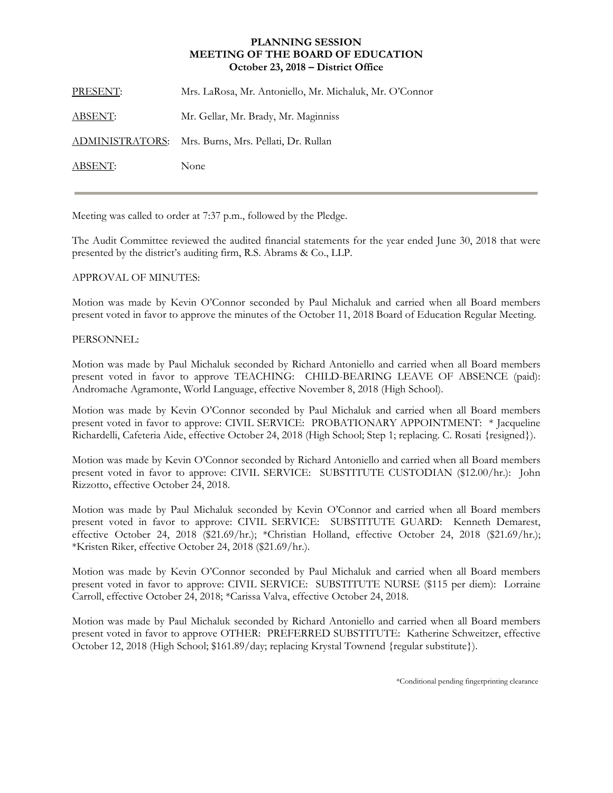## **PLANNING SESSION MEETING OF THE BOARD OF EDUCATION October 23, 2018 – District Office**

| PRESENT:       | Mrs. LaRosa, Mr. Antoniello, Mr. Michaluk, Mr. O'Connor |
|----------------|---------------------------------------------------------|
| <u>ABSENT:</u> | Mr. Gellar, Mr. Brady, Mr. Maginniss                    |
|                | ADMINISTRATORS: Mrs. Burns, Mrs. Pellati, Dr. Rullan    |
| ABSENT:        | None                                                    |
|                |                                                         |

Meeting was called to order at 7:37 p.m., followed by the Pledge.

The Audit Committee reviewed the audited financial statements for the year ended June 30, 2018 that were presented by the district's auditing firm, R.S. Abrams & Co., LLP.

## APPROVAL OF MINUTES:

Motion was made by Kevin O'Connor seconded by Paul Michaluk and carried when all Board members present voted in favor to approve the minutes of the October 11, 2018 Board of Education Regular Meeting.

## PERSONNEL:

Motion was made by Paul Michaluk seconded by Richard Antoniello and carried when all Board members present voted in favor to approve TEACHING: CHILD-BEARING LEAVE OF ABSENCE (paid): Andromache Agramonte, World Language, effective November 8, 2018 (High School).

Motion was made by Kevin O'Connor seconded by Paul Michaluk and carried when all Board members present voted in favor to approve: CIVIL SERVICE: PROBATIONARY APPOINTMENT: \* Jacqueline Richardelli, Cafeteria Aide, effective October 24, 2018 (High School; Step 1; replacing. C. Rosati {resigned}).

Motion was made by Kevin O'Connor seconded by Richard Antoniello and carried when all Board members present voted in favor to approve: CIVIL SERVICE: SUBSTITUTE CUSTODIAN (\$12.00/hr.): John Rizzotto, effective October 24, 2018.

Motion was made by Paul Michaluk seconded by Kevin O'Connor and carried when all Board members present voted in favor to approve: CIVIL SERVICE: SUBSTITUTE GUARD: Kenneth Demarest, effective October 24, 2018 (\$21.69/hr.); \*Christian Holland, effective October 24, 2018 (\$21.69/hr.); \*Kristen Riker, effective October 24, 2018 (\$21.69/hr.).

Motion was made by Kevin O'Connor seconded by Paul Michaluk and carried when all Board members present voted in favor to approve: CIVIL SERVICE: SUBSTITUTE NURSE (\$115 per diem): Lorraine Carroll, effective October 24, 2018; \*Carissa Valva, effective October 24, 2018.

Motion was made by Paul Michaluk seconded by Richard Antoniello and carried when all Board members present voted in favor to approve OTHER: PREFERRED SUBSTITUTE: Katherine Schweitzer, effective October 12, 2018 (High School; \$161.89/day; replacing Krystal Townend {regular substitute}).

\*Conditional pending fingerprinting clearance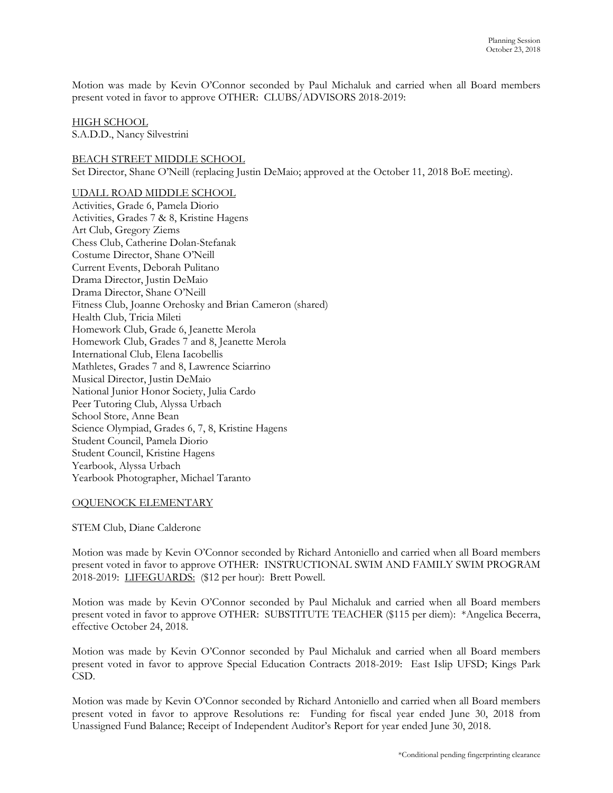Motion was made by Kevin O'Connor seconded by Paul Michaluk and carried when all Board members present voted in favor to approve OTHER: CLUBS/ADVISORS 2018-2019:

#### HIGH SCHOOL

S.A.D.D., Nancy Silvestrini

BEACH STREET MIDDLE SCHOOL Set Director, Shane O'Neill (replacing Justin DeMaio; approved at the October 11, 2018 BoE meeting).

## UDALL ROAD MIDDLE SCHOOL

Activities, Grade 6, Pamela Diorio Activities, Grades 7 & 8, Kristine Hagens Art Club, Gregory Ziems Chess Club, Catherine Dolan-Stefanak Costume Director, Shane O'Neill Current Events, Deborah Pulitano Drama Director, Justin DeMaio Drama Director, Shane O'Neill Fitness Club, Joanne Orehosky and Brian Cameron (shared) Health Club, Tricia Mileti Homework Club, Grade 6, Jeanette Merola Homework Club, Grades 7 and 8, Jeanette Merola International Club, Elena Iacobellis Mathletes, Grades 7 and 8, Lawrence Sciarrino Musical Director, Justin DeMaio National Junior Honor Society, Julia Cardo Peer Tutoring Club, Alyssa Urbach School Store, Anne Bean Science Olympiad, Grades 6, 7, 8, Kristine Hagens Student Council, Pamela Diorio Student Council, Kristine Hagens Yearbook, Alyssa Urbach Yearbook Photographer, Michael Taranto

## OQUENOCK ELEMENTARY

STEM Club, Diane Calderone

Motion was made by Kevin O'Connor seconded by Richard Antoniello and carried when all Board members present voted in favor to approve OTHER: INSTRUCTIONAL SWIM AND FAMILY SWIM PROGRAM 2018-2019: LIFEGUARDS: (\$12 per hour): Brett Powell.

Motion was made by Kevin O'Connor seconded by Paul Michaluk and carried when all Board members present voted in favor to approve OTHER: SUBSTITUTE TEACHER (\$115 per diem): \*Angelica Becerra, effective October 24, 2018.

Motion was made by Kevin O'Connor seconded by Paul Michaluk and carried when all Board members present voted in favor to approve Special Education Contracts 2018-2019: East Islip UFSD; Kings Park CSD.

Motion was made by Kevin O'Connor seconded by Richard Antoniello and carried when all Board members present voted in favor to approve Resolutions re: Funding for fiscal year ended June 30, 2018 from Unassigned Fund Balance; Receipt of Independent Auditor's Report for year ended June 30, 2018.